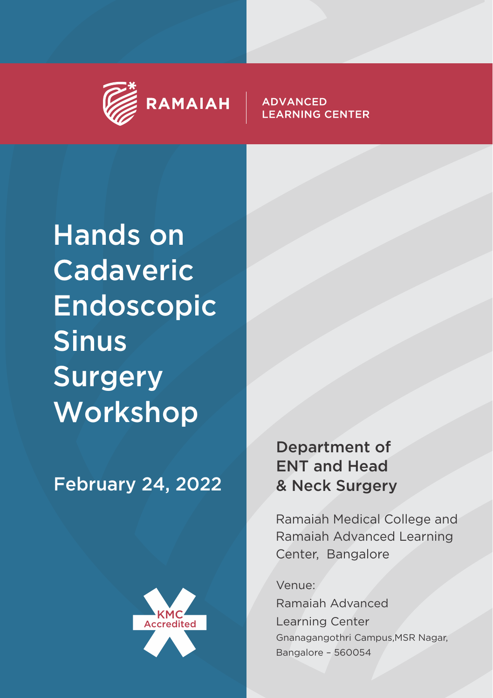

#### **ADVANCED LEARNING CENTER**

Hands on Cadaveric Endoscopic Sinus Surgery Workshop

# February 24, 2022



## Department of ENT and Head & Neck Surgery

Ramaiah Medical College and Ramaiah Advanced Learning Center, Bangalore

Venue:

Ramaiah Advanced Learning Center Gnanagangothri Campus,MSR Nagar, Bangalore – 560054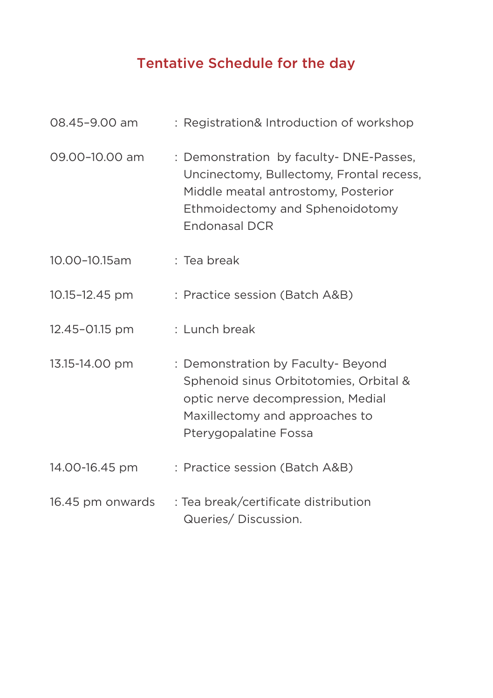## Tentative Schedule for the day

| 08.45-9.00 am    | : Registration& Introduction of workshop                                                                                                                                             |
|------------------|--------------------------------------------------------------------------------------------------------------------------------------------------------------------------------------|
| 09.00-10.00 am   | : Demonstration by faculty-DNE-Passes,<br>Uncinectomy, Bullectomy, Frontal recess,<br>Middle meatal antrostomy, Posterior<br>Ethmoidectomy and Sphenoidotomy<br><b>Endonasal DCR</b> |
| 10.00-10.15am    | : Tea break                                                                                                                                                                          |
| 10.15-12.45 pm   | : Practice session (Batch A&B)                                                                                                                                                       |
| 12.45-01.15 pm   | : Lunch break                                                                                                                                                                        |
| 13.15-14.00 pm   | : Demonstration by Faculty- Beyond<br>Sphenoid sinus Orbitotomies, Orbital &<br>optic nerve decompression, Medial<br>Maxillectomy and approaches to<br>Pterygopalatine Fossa         |
| 14.00-16.45 pm   | : Practice session (Batch A&B)                                                                                                                                                       |
| 16.45 pm onwards | : Tea break/certificate distribution<br>Queries/Discussion.                                                                                                                          |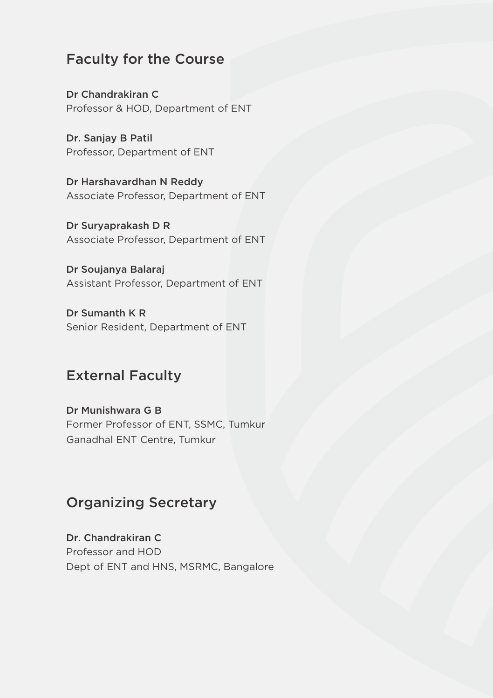#### Faculty for the Course

Dr Chandrakiran C Professor & HOD, Department of ENT

Dr. Sanjay B Patil Professor, Department of ENT

Dr Harshavardhan N Reddy Associate Professor, Department of ENT

Dr Suryaprakash D R Associate Professor, Department of ENT

Dr Soujanya Balaraj Assistant Professor, Department of ENT

Dr Sumanth K R Senior Resident, Department of ENT

## External Faculty

Dr Munishwara G B Former Professor of ENT, SSMC, Tumkur Ganadhal ENT Centre, Tumkur

### Organizing Secretary

Dr. Chandrakiran C Professor and HOD Dept of ENT and HNS, MSRMC, Bangalore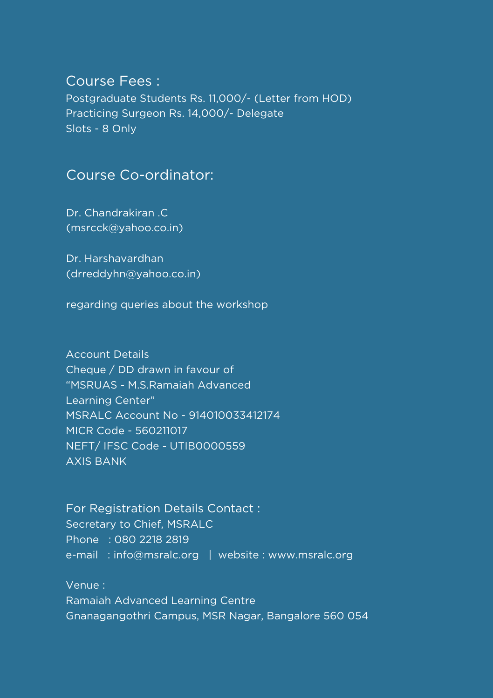#### Course Fees :

Postgraduate Students Rs. 11,000/- (Letter from HOD) Practicing Surgeon Rs. 14,000/- Delegate Slots - 8 Only

#### Course Co-ordinator:

Dr. Chandrakiran .C (msrcck@yahoo.co.in)

Dr. Harshavardhan (drreddyhn@yahoo.co.in)

regarding queries about the workshop

Account Details Cheque / DD drawn in favour of "MSRUAS - M.S.Ramaiah Advanced Learning Center" MSRALC Account No - 914010033412174 MICR Code - 560211017 NEFT/ IFSC Code - UTIB0000559 AXIS BANK

For Registration Details Contact : Secretary to Chief, MSRALC Phone : 080 2218 2819 e-mail: info@msralc.org | website : www.msralc.org

Venue : Ramaiah Advanced Learning Centre Gnanagangothri Campus, MSR Nagar, Bangalore 560 054